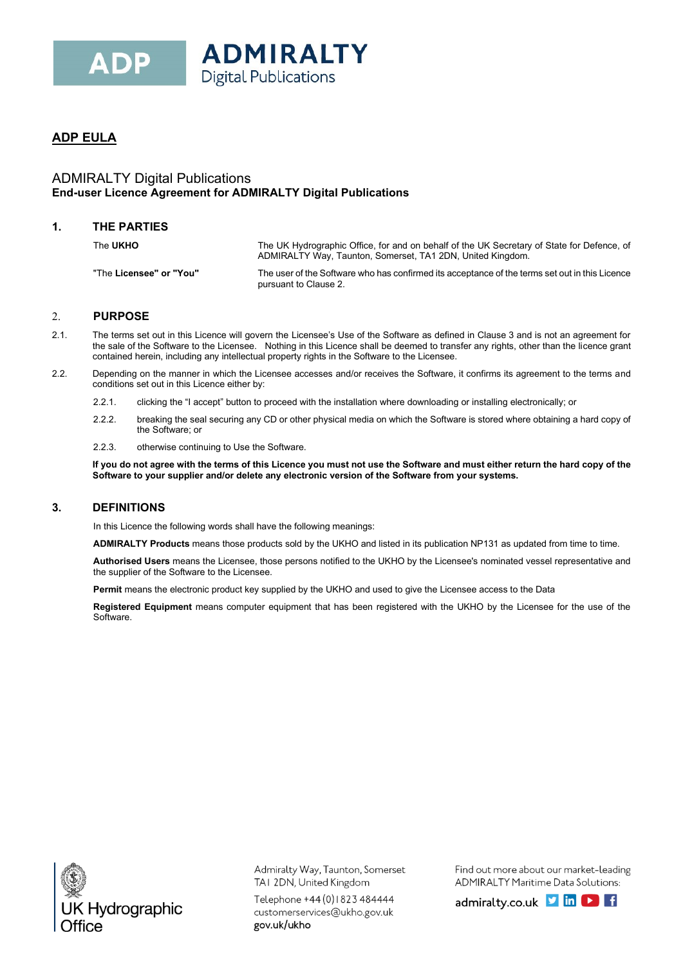

# **ADP EULA**

## ADMIRALTY Digital Publications **End-user Licence Agreement for ADMIRALTY Digital Publications**

### **1. THE PARTIES**

| The UKHO                | The UK Hydrographic Office, for and on behalf of the UK Secretary of State for Defence, of<br>ADMIRALTY Way, Taunton, Somerset, TA1 2DN, United Kingdom. |
|-------------------------|----------------------------------------------------------------------------------------------------------------------------------------------------------|
| "The Licensee" or "You" | The user of the Software who has confirmed its acceptance of the terms set out in this Licence<br>pursuant to Clause 2.                                  |

### 2. **PURPOSE**

- 2.1. The terms set out in this Licence will govern the Licensee's Use of the Software as defined in Clause 3 and is not an agreement for the sale of the Software to the Licensee. Nothing in this Licence shall be deemed to transfer any rights, other than the licence grant contained herein, including any intellectual property rights in the Software to the Licensee.
- 2.2. Depending on the manner in which the Licensee accesses and/or receives the Software, it confirms its agreement to the terms and conditions set out in this Licence either by:
	- 2.2.1. clicking the "I accept" button to proceed with the installation where downloading or installing electronically; or
	- 2.2.2. breaking the seal securing any CD or other physical media on which the Software is stored where obtaining a hard copy of the Software; or
	- 2.2.3. otherwise continuing to Use the Software.

**If you do not agree with the terms of this Licence you must not use the Software and must either return the hard copy of the Software to your supplier and/or delete any electronic version of the Software from your systems.**

## **3. DEFINITIONS**

In this Licence the following words shall have the following meanings:

**ADMIRALTY Products** means those products sold by the UKHO and listed in its publication NP131 as updated from time to time.

**Authorised Users** means the Licensee, those persons notified to the UKHO by the Licensee's nominated vessel representative and the supplier of the Software to the Licensee.

**Permit** means the electronic product key supplied by the UKHO and used to give the Licensee access to the Data

**Registered Equipment** means computer equipment that has been registered with the UKHO by the Licensee for the use of the Software.



Admiralty Way, Taunton, Somerset TAI 2DN, United Kingdom

Telephone +44 (0) | 823 484444 customerservices@ukho.gov.uk gov.uk/ukho

Find out more about our market-leading ADMIRALTY Maritime Data Solutions: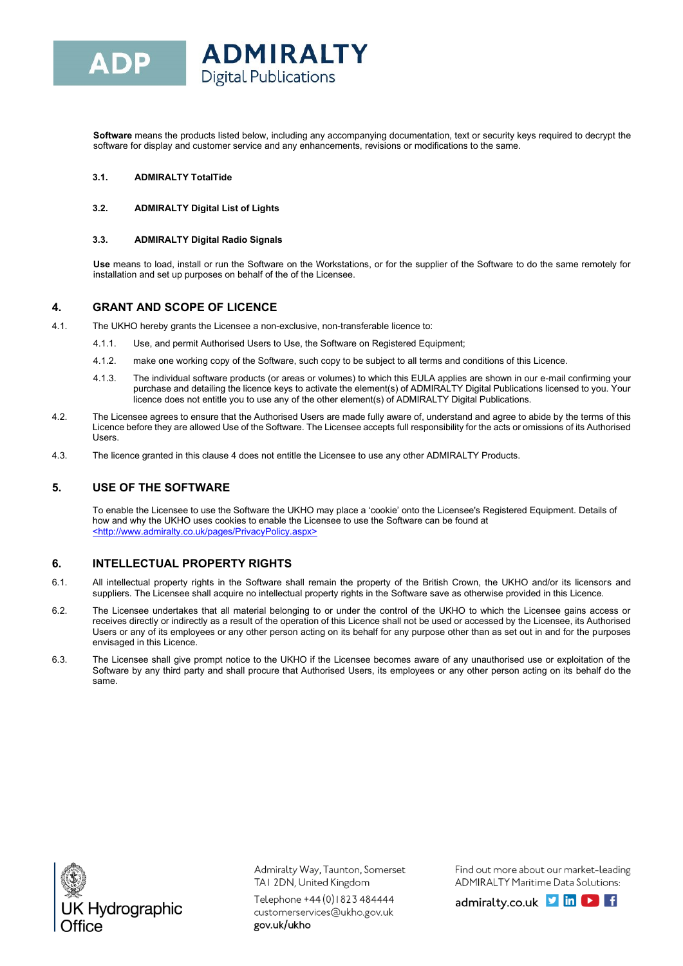**Software** means the products listed below, including any accompanying documentation, text or security keys required to decrypt the software for display and customer service and any enhancements, revisions or modifications to the same.

### **3.1. ADMIRALTY TotalTide**

#### **3.2. ADMIRALTY Digital List of Lights**

#### **3.3. ADMIRALTY Digital Radio Signals**

**Use** means to load, install or run the Software on the Workstations, or for the supplier of the Software to do the same remotely for installation and set up purposes on behalf of the of the Licensee.

### **4. GRANT AND SCOPE OF LICENCE**

- 4.1. The UKHO hereby grants the Licensee a non-exclusive, non-transferable licence to:
	- 4.1.1. Use, and permit Authorised Users to Use, the Software on Registered Equipment;
	- 4.1.2. make one working copy of the Software, such copy to be subject to all terms and conditions of this Licence.
	- 4.1.3. The individual software products (or areas or volumes) to which this EULA applies are shown in our e-mail confirming your purchase and detailing the licence keys to activate the element(s) of ADMIRALTY Digital Publications licensed to you. Your licence does not entitle you to use any of the other element(s) of ADMIRALTY Digital Publications.
- 4.2. The Licensee agrees to ensure that the Authorised Users are made fully aware of, understand and agree to abide by the terms of this Licence before they are allowed Use of the Software. The Licensee accepts full responsibility for the acts or omissions of its Authorised Users.
- 4.3. The licence granted in this clause 4 does not entitle the Licensee to use any other ADMIRALTY Products.

## **5. USE OF THE SOFTWARE**

To enable the Licensee to use the Software the UKHO may place a 'cookie' onto the Licensee's Registered Equipment. Details of how and why the UKHO uses cookies to enable the Licensee to use the Software can be found at <http://www.admiralty.co.uk/pages/PrivacyPolicy.aspx>

## **6. INTELLECTUAL PROPERTY RIGHTS**

- 6.1. All intellectual property rights in the Software shall remain the property of the British Crown, the UKHO and/or its licensors and suppliers. The Licensee shall acquire no intellectual property rights in the Software save as otherwise provided in this Licence.
- 6.2. The Licensee undertakes that all material belonging to or under the control of the UKHO to which the Licensee gains access or receives directly or indirectly as a result of the operation of this Licence shall not be used or accessed by the Licensee, its Authorised Users or any of its employees or any other person acting on its behalf for any purpose other than as set out in and for the purposes envisaged in this Licence.
- 6.3. The Licensee shall give prompt notice to the UKHO if the Licensee becomes aware of any unauthorised use or exploitation of the Software by any third party and shall procure that Authorised Users, its employees or any other person acting on its behalf do the same.



Admiralty Way, Taunton, Somerset TAI 2DN, United Kingdom

Telephone +44 (0) | 823 484444 customerservices@ukho.gov.uk gov.uk/ukho

Find out more about our market-leading ADMIRALTY Maritime Data Solutions: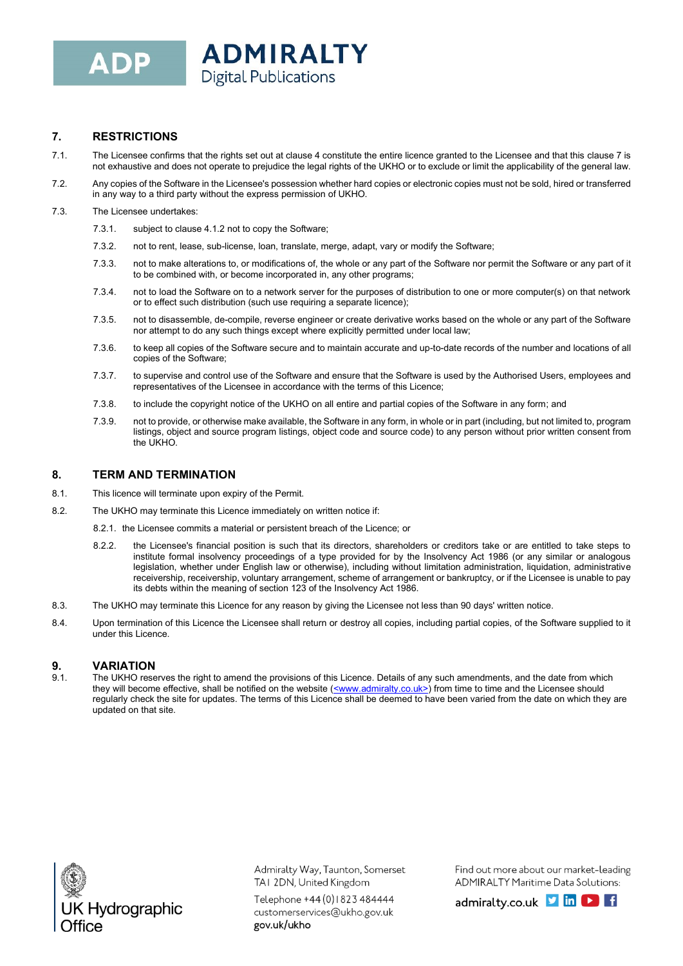## **7. RESTRICTIONS**

- 7.1. The Licensee confirms that the rights set out at clause 4 constitute the entire licence granted to the Licensee and that this clause 7 is not exhaustive and does not operate to prejudice the legal rights of the UKHO or to exclude or limit the applicability of the general law.
- 7.2. Any copies of the Software in the Licensee's possession whether hard copies or electronic copies must not be sold, hired or transferred in any way to a third party without the express permission of UKHO.

### 7.3. The Licensee undertakes:

- 7.3.1. subject to clause 4.1.2 not to copy the Software;
- 7.3.2. not to rent, lease, sub-license, loan, translate, merge, adapt, vary or modify the Software;
- 7.3.3. not to make alterations to, or modifications of, the whole or any part of the Software nor permit the Software or any part of it to be combined with, or become incorporated in, any other programs;
- 7.3.4. not to load the Software on to a network server for the purposes of distribution to one or more computer(s) on that network or to effect such distribution (such use requiring a separate licence);
- 7.3.5. not to disassemble, de-compile, reverse engineer or create derivative works based on the whole or any part of the Software nor attempt to do any such things except where explicitly permitted under local law;
- 7.3.6. to keep all copies of the Software secure and to maintain accurate and up-to-date records of the number and locations of all copies of the Software;
- 7.3.7. to supervise and control use of the Software and ensure that the Software is used by the Authorised Users, employees and representatives of the Licensee in accordance with the terms of this Licence;
- 7.3.8. to include the copyright notice of the UKHO on all entire and partial copies of the Software in any form; and
- 7.3.9. not to provide, or otherwise make available, the Software in any form, in whole or in part (including, but not limited to, program listings, object and source program listings, object code and source code) to any person without prior written consent from the UKHO.

## **8. TERM AND TERMINATION**

- 8.1. This licence will terminate upon expiry of the Permit.
- 8.2. The UKHO may terminate this Licence immediately on written notice if:
	- 8.2.1. the Licensee commits a material or persistent breach of the Licence; or
	- 8.2.2. the Licensee's financial position is such that its directors, shareholders or creditors take or are entitled to take steps to institute formal insolvency proceedings of a type provided for by the Insolvency Act 1986 (or any similar or analogous legislation, whether under English law or otherwise), including without limitation administration, liquidation, administrative receivership, receivership, voluntary arrangement, scheme of arrangement or bankruptcy, or if the Licensee is unable to pay its debts within the meaning of section 123 of the Insolvency Act 1986.
- 8.3. The UKHO may terminate this Licence for any reason by giving the Licensee not less than 90 days' written notice.
- 8.4. Upon termination of this Licence the Licensee shall return or destroy all copies, including partial copies, of the Software supplied to it under this Licence.

## **9. VARIATION**

9.1. The UKHO reserves the right to amend the provisions of this Licence. Details of any such amendments, and the date from which they will become effective, shall be notified on the website (<www.admiralty.co.uk>) from time to time and the Licensee should regularly check the site for updates. The terms of this Licence shall be deemed to have been varied from the date on which they are updated on that site.



Admiralty Way, Taunton, Somerset TAI 2DN, United Kingdom

Telephone +44 (0) | 823 484444 customerservices@ukho.gov.uk gov.uk/ukho

Find out more about our market-leading ADMIRALTY Maritime Data Solutions: